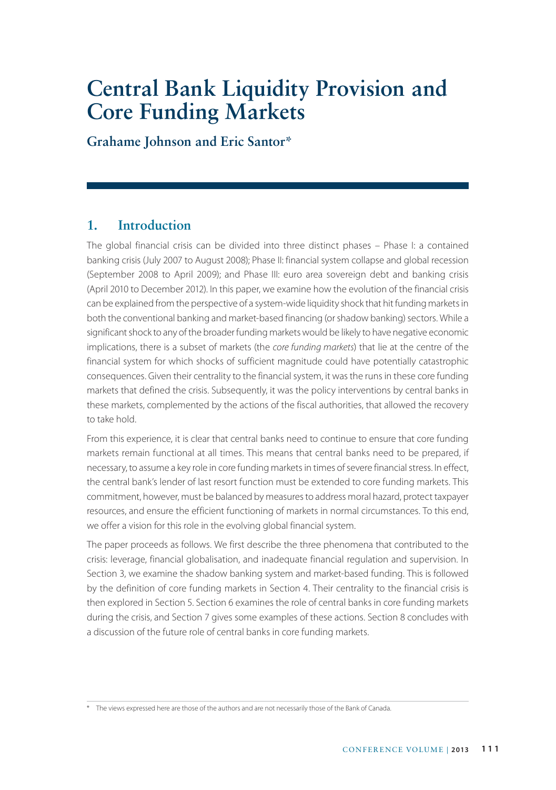# **Central Bank Liquidity Provision and Core Funding Markets**

**Grahame Johnson and Eric Santor\***

# **1. Introduction**

The global financial crisis can be divided into three distinct phases – Phase I: a contained banking crisis (July 2007 to August 2008); Phase II: financial system collapse and global recession (September 2008 to April 2009); and Phase III: euro area sovereign debt and banking crisis (April 2010 to December 2012). In this paper, we examine how the evolution of the financial crisis can be explained from the perspective of a system-wide liquidity shock that hit funding markets in both the conventional banking and market-based financing (or shadow banking) sectors. While a significant shock to any of the broader funding markets would be likely to have negative economic implications, there is a subset of markets (the *core funding markets*) that lie at the centre of the financial system for which shocks of sufficient magnitude could have potentially catastrophic consequences. Given their centrality to the financial system, it was the runs in these core funding markets that defined the crisis. Subsequently, it was the policy interventions by central banks in these markets, complemented by the actions of the fiscal authorities, that allowed the recovery to take hold.

From this experience, it is clear that central banks need to continue to ensure that core funding markets remain functional at all times. This means that central banks need to be prepared, if necessary, to assume a key role in core funding markets in times of severe financial stress. In effect, the central bank's lender of last resort function must be extended to core funding markets. This commitment, however, must be balanced by measures to address moral hazard, protect taxpayer resources, and ensure the efficient functioning of markets in normal circumstances. To this end, we offer a vision for this role in the evolving global financial system.

The paper proceeds as follows. We first describe the three phenomena that contributed to the crisis: leverage, financial globalisation, and inadequate financial regulation and supervision. In Section 3, we examine the shadow banking system and market-based funding. This is followed by the definition of core funding markets in Section 4. Their centrality to the financial crisis is then explored in Section 5. Section 6 examines the role of central banks in core funding markets during the crisis, and Section 7 gives some examples of these actions. Section 8 concludes with a discussion of the future role of central banks in core funding markets.

<sup>\*</sup> The views expressed here are those of the authors and are not necessarily those of the Bank of Canada.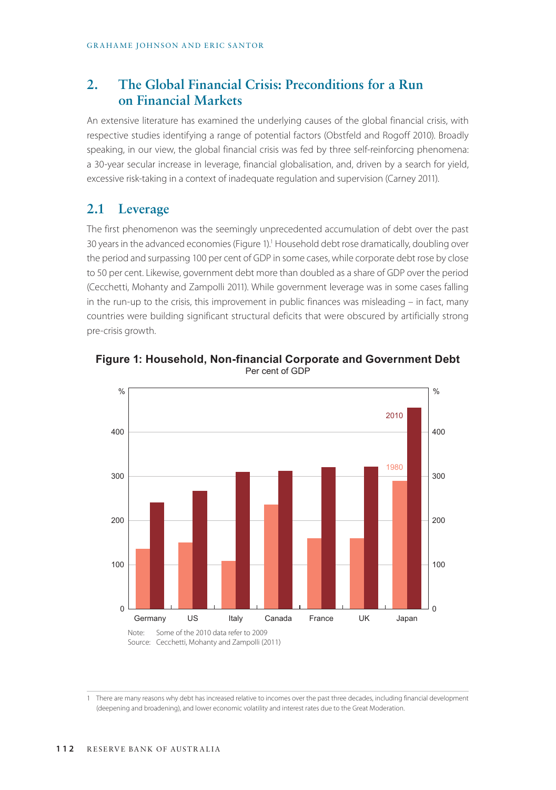# **2. The Global Financial Crisis: Preconditions for a Run on Financial Markets**

An extensive literature has examined the underlying causes of the global financial crisis, with respective studies identifying a range of potential factors (Obstfeld and Rogoff 2010). Broadly speaking, in our view, the global financial crisis was fed by three self-reinforcing phenomena: a 30-year secular increase in leverage, financial globalisation, and, driven by a search for yield, excessive risk-taking in a context of inadequate regulation and supervision (Carney 2011).

# **2.1 Leverage**

The first phenomenon was the seemingly unprecedented accumulation of debt over the past 30 years in the advanced economies (Figure 1).<sup>1</sup> Household debt rose dramatically, doubling over the period and surpassing 100 per cent of GDP in some cases, while corporate debt rose by close to 50 per cent. Likewise, government debt more than doubled as a share of GDP over the period (Cecchetti, Mohanty and Zampolli 2011). While government leverage was in some cases falling in the run-up to the crisis, this improvement in public finances was misleading – in fact, many countries were building significant structural deficits that were obscured by artificially strong pre-crisis growth.



**Figure 1: Household, Non-financial Corporate and Government Debt** Per cent of GDP

1 There are many reasons why debt has increased relative to incomes over the past three decades, including financial development (deepening and broadening), and lower economic volatility and interest rates due to the Great Moderation.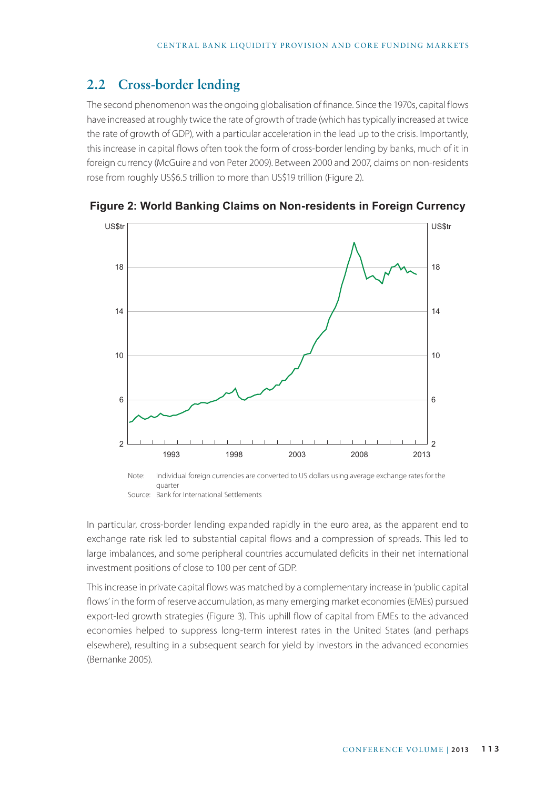# **2.2 Cross-border lending**

The second phenomenon was the ongoing globalisation of finance. Since the 1970s, capital flows have increased at roughly twice the rate of growth of trade (which has typically increased at twice the rate of growth of GDP), with a particular acceleration in the lead up to the crisis. Importantly, this increase in capital flows often took the form of cross-border lending by banks, much of it in foreign currency (McGuire and von Peter 2009). Between 2000 and 2007, claims on non-residents rose from roughly US\$6.5 trillion to more than US\$19 trillion (Figure 2).



**Figure 2: World Banking Claims on Non-residents in Foreign Currency**

In particular, cross-border lending expanded rapidly in the euro area, as the apparent end to exchange rate risk led to substantial capital flows and a compression of spreads. This led to large imbalances, and some peripheral countries accumulated deficits in their net international investment positions of close to 100 per cent of GDP.

This increase in private capital flows was matched by a complementary increase in 'public capital flows' in the form of reserve accumulation, as many emerging market economies (EMEs) pursued export-led growth strategies (Figure 3). This uphill flow of capital from EMEs to the advanced economies helped to suppress long-term interest rates in the United States (and perhaps elsewhere), resulting in a subsequent search for yield by investors in the advanced economies (Bernanke 2005).

Note: Individual foreign currencies are converted to US dollars using average exchange rates for the quarter Source: Bank for International Settlements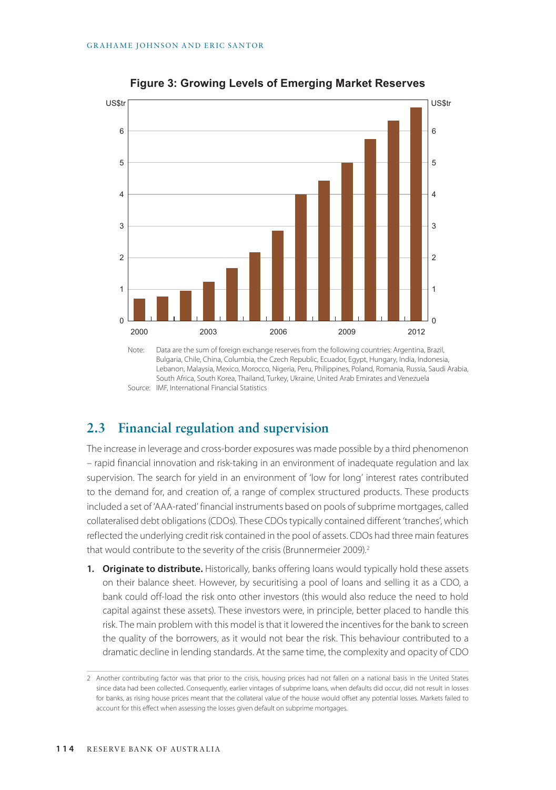

**Figure 3: Growing Levels of Emerging Market Reserves**

Note: Data are the sum of foreign exchange reserves from the following countries: Argentina, Brazil, Bulgaria, Chile, China, Columbia, the Czech Republic, Ecuador, Egypt, Hungary, India, Indonesia, Lebanon, Malaysia, Mexico, Morocco, Nigeria, Peru, Philippines, Poland, Romania, Russia, Saudi Arabia, South Africa, South Korea, Thailand, Turkey, Ukraine, United Arab Emirates and Venezuela Source: IMF, International Financial Statistics

# **2.3 Financial regulation and supervision**

The increase in leverage and cross-border exposures was made possible by a third phenomenon – rapid financial innovation and risk-taking in an environment of inadequate regulation and lax supervision. The search for yield in an environment of 'low for long' interest rates contributed to the demand for, and creation of, a range of complex structured products. These products included a set of 'AAA-rated' financial instruments based on pools of subprime mortgages, called collateralised debt obligations (CDOs). These CDOs typically contained different 'tranches', which reflected the underlying credit risk contained in the pool of assets. CDOs had three main features that would contribute to the severity of the crisis (Brunnermeier 2009).<sup>2</sup>

**1. Originate to distribute.** Historically, banks offering loans would typically hold these assets on their balance sheet. However, by securitising a pool of loans and selling it as a CDO, a bank could off-load the risk onto other investors (this would also reduce the need to hold capital against these assets). These investors were, in principle, better placed to handle this risk. The main problem with this model is that it lowered the incentives for the bank to screen the quality of the borrowers, as it would not bear the risk. This behaviour contributed to a dramatic decline in lending standards. At the same time, the complexity and opacity of CDO

<sup>2</sup> Another contributing factor was that prior to the crisis, housing prices had not fallen on a national basis in the United States since data had been collected. Consequently, earlier vintages of subprime loans, when defaults did occur, did not result in losses for banks, as rising house prices meant that the collateral value of the house would offset any potential losses. Markets failed to account for this effect when assessing the losses given default on subprime mortgages.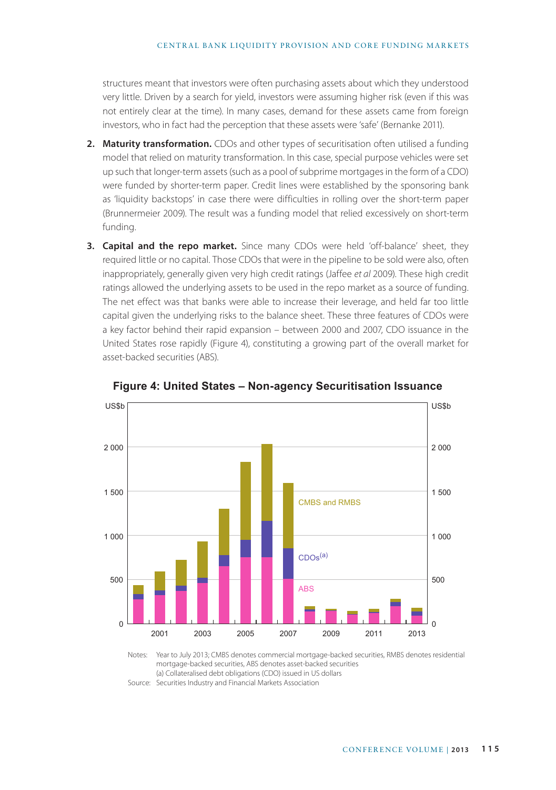structures meant that investors were often purchasing assets about which they understood very little. Driven by a search for yield, investors were assuming higher risk (even if this was not entirely clear at the time). In many cases, demand for these assets came from foreign investors, who in fact had the perception that these assets were 'safe' (Bernanke 2011).

- **2. Maturity transformation.** CDOs and other types of securitisation often utilised a funding model that relied on maturity transformation. In this case, special purpose vehicles were set up such that longer-term assets (such as a pool of subprime mortgages in the form of a CDO) were funded by shorter-term paper. Credit lines were established by the sponsoring bank as 'liquidity backstops' in case there were difficulties in rolling over the short-term paper (Brunnermeier 2009). The result was a funding model that relied excessively on short-term funding.
- **3. Capital and the repo market.** Since many CDOs were held 'off-balance' sheet, they required little or no capital. Those CDOs that were in the pipeline to be sold were also, often inappropriately, generally given very high credit ratings (Jaffee *et al* 2009). These high credit ratings allowed the underlying assets to be used in the repo market as a source of funding. The net effect was that banks were able to increase their leverage, and held far too little capital given the underlying risks to the balance sheet. These three features of CDOs were a key factor behind their rapid expansion – between 2000 and 2007, CDO issuance in the United States rose rapidly (Figure 4), constituting a growing part of the overall market for asset-backed securities (ABS).



**Figure 4: United States – Non-agency Securitisation Issuance**

Notes: Year to July 2013; CMBS denotes commercial mortgage-backed securities, RMBS denotes residential mortgage-backed securities, ABS denotes asset-backed securities (a) Collateralised debt obligations (CDO) issued in US dollars

Source: Securities Industry and Financial Markets Association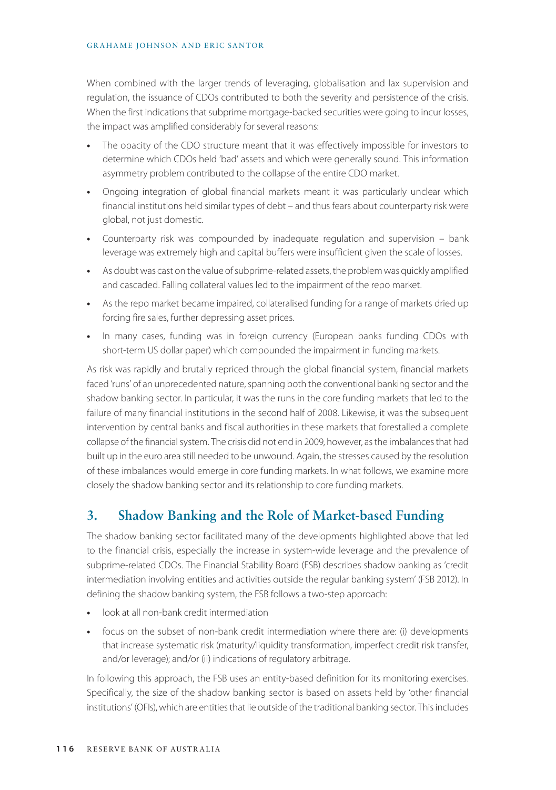#### GRAHAME JOHNSON AND ERIC SANTOR

When combined with the larger trends of leveraging, globalisation and lax supervision and regulation, the issuance of CDOs contributed to both the severity and persistence of the crisis. When the first indications that subprime mortgage-backed securities were going to incur losses, the impact was amplified considerably for several reasons:

- **•** The opacity of the CDO structure meant that it was effectively impossible for investors to determine which CDOs held 'bad' assets and which were generally sound. This information asymmetry problem contributed to the collapse of the entire CDO market.
- **•** Ongoing integration of global financial markets meant it was particularly unclear which financial institutions held similar types of debt – and thus fears about counterparty risk were global, not just domestic.
- **•** Counterparty risk was compounded by inadequate regulation and supervision bank leverage was extremely high and capital buffers were insufficient given the scale of losses.
- **•** As doubt was cast on the value of subprime-related assets, the problem was quickly amplified and cascaded. Falling collateral values led to the impairment of the repo market.
- **•** As the repo market became impaired, collateralised funding for a range of markets dried up forcing fire sales, further depressing asset prices.
- **•** In many cases, funding was in foreign currency (European banks funding CDOs with short-term US dollar paper) which compounded the impairment in funding markets.

As risk was rapidly and brutally repriced through the global financial system, financial markets faced 'runs' of an unprecedented nature, spanning both the conventional banking sector and the shadow banking sector. In particular, it was the runs in the core funding markets that led to the failure of many financial institutions in the second half of 2008. Likewise, it was the subsequent intervention by central banks and fiscal authorities in these markets that forestalled a complete collapse of the financial system. The crisis did not end in 2009, however, as the imbalances that had built up in the euro area still needed to be unwound. Again, the stresses caused by the resolution of these imbalances would emerge in core funding markets. In what follows, we examine more closely the shadow banking sector and its relationship to core funding markets.

# **3. Shadow Banking and the Role of Market-based Funding**

The shadow banking sector facilitated many of the developments highlighted above that led to the financial crisis, especially the increase in system-wide leverage and the prevalence of subprime-related CDOs. The Financial Stability Board (FSB) describes shadow banking as 'credit intermediation involving entities and activities outside the regular banking system' (FSB 2012). In defining the shadow banking system, the FSB follows a two-step approach:

- **•** look at all non-bank credit intermediation
- **•** focus on the subset of non-bank credit intermediation where there are: (i) developments that increase systematic risk (maturity/liquidity transformation, imperfect credit risk transfer, and/or leverage); and/or (ii) indications of regulatory arbitrage.

In following this approach, the FSB uses an entity-based definition for its monitoring exercises. Specifically, the size of the shadow banking sector is based on assets held by 'other financial institutions' (OFIs), which are entities that lie outside of the traditional banking sector. This includes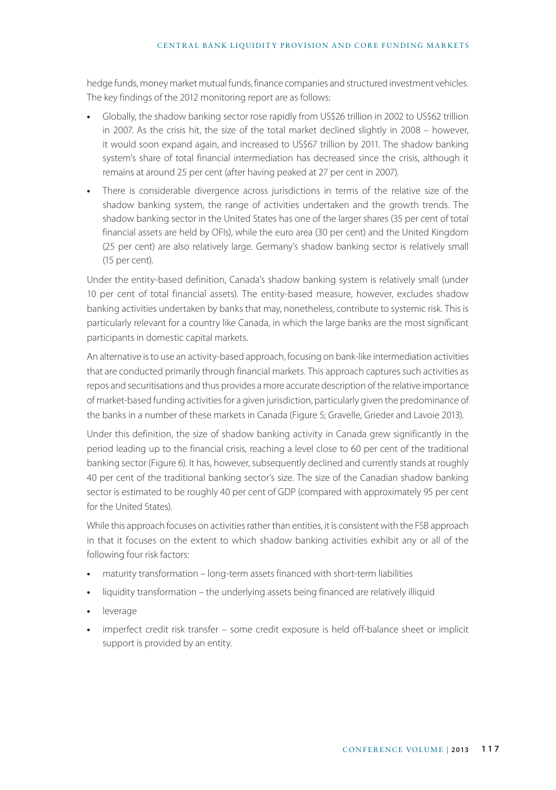#### CENTRAL BANK LIQUIDITY PROVISION AND CORE FUNDING MARKETS

hedge funds, money market mutual funds, finance companies and structured investment vehicles. The key findings of the 2012 monitoring report are as follows:

- **•** Globally, the shadow banking sector rose rapidly from US\$26 trillion in 2002 to US\$62 trillion in 2007. As the crisis hit, the size of the total market declined slightly in 2008 – however, it would soon expand again, and increased to US\$67 trillion by 2011. The shadow banking system's share of total financial intermediation has decreased since the crisis, although it remains at around 25 per cent (after having peaked at 27 per cent in 2007).
- **•** There is considerable divergence across jurisdictions in terms of the relative size of the shadow banking system, the range of activities undertaken and the growth trends. The shadow banking sector in the United States has one of the larger shares (35 per cent of total financial assets are held by OFIs), while the euro area (30 per cent) and the United Kingdom (25 per cent) are also relatively large. Germany's shadow banking sector is relatively small (15 per cent).

Under the entity-based definition, Canada's shadow banking system is relatively small (under 10 per cent of total financial assets). The entity-based measure, however, excludes shadow banking activities undertaken by banks that may, nonetheless, contribute to systemic risk. This is particularly relevant for a country like Canada, in which the large banks are the most significant participants in domestic capital markets.

An alternative is to use an activity-based approach, focusing on bank-like intermediation activities that are conducted primarily through financial markets. This approach captures such activities as repos and securitisations and thus provides a more accurate description of the relative importance of market-based funding activities for a given jurisdiction, particularly given the predominance of the banks in a number of these markets in Canada (Figure 5; Gravelle, Grieder and Lavoie 2013).

Under this definition, the size of shadow banking activity in Canada grew significantly in the period leading up to the financial crisis, reaching a level close to 60 per cent of the traditional banking sector (Figure 6). It has, however, subsequently declined and currently stands at roughly 40 per cent of the traditional banking sector's size. The size of the Canadian shadow banking sector is estimated to be roughly 40 per cent of GDP (compared with approximately 95 per cent for the United States).

While this approach focuses on activities rather than entities, it is consistent with the FSB approach in that it focuses on the extent to which shadow banking activities exhibit any or all of the following four risk factors:

- **•** maturity transformation long-term assets financed with short-term liabilities
- **•** liquidity transformation the underlying assets being financed are relatively illiquid
- **•** leverage
- **•** imperfect credit risk transfer some credit exposure is held off-balance sheet or implicit support is provided by an entity.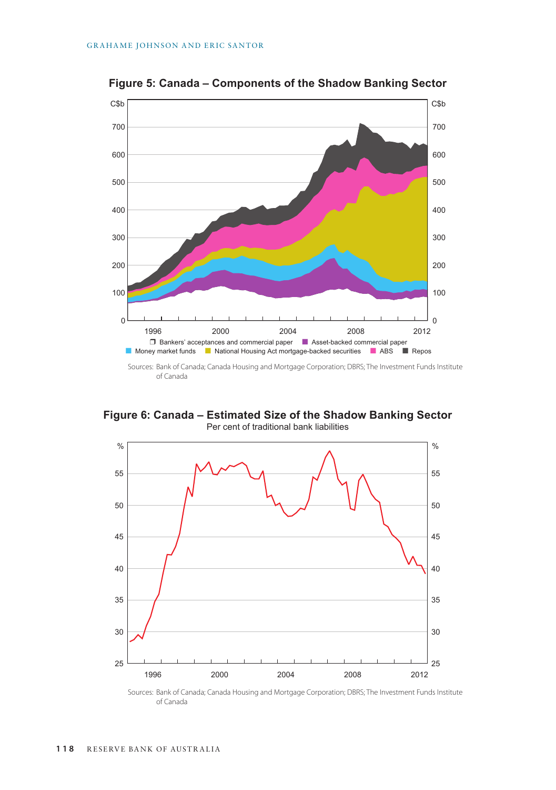

**Figure 5: Canada – Components of the Shadow Banking Sector**

Sources: Bank of Canada; Canada Housing and Mortgage Corporation; DBRS; The Investment Funds Institute of Canada

**Figure 6: Canada – Estimated Size of the Shadow Banking Sector** Per cent of traditional bank liabilities



Sources: Bank of Canada; Canada Housing and Mortgage Corporation; DBRS; The Investment Funds Institute of Canada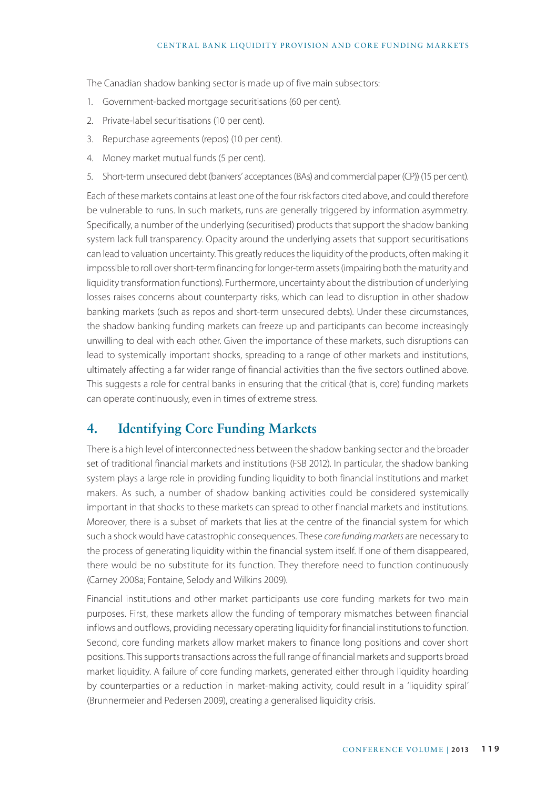The Canadian shadow banking sector is made up of five main subsectors:

- 1. Government-backed mortgage securitisations (60 per cent).
- 2. Private-label securitisations (10 per cent).
- 3. Repurchase agreements (repos) (10 per cent).
- 4. Money market mutual funds (5 per cent).
- 5. Short-term unsecured debt (bankers' acceptances (BAs) and commercial paper (CP)) (15 per cent).

Each of these markets contains at least one of the four risk factors cited above, and could therefore be vulnerable to runs. In such markets, runs are generally triggered by information asymmetry. Specifically, a number of the underlying (securitised) products that support the shadow banking system lack full transparency. Opacity around the underlying assets that support securitisations can lead to valuation uncertainty. This greatly reduces the liquidity of the products, often making it impossible to roll over short-term financing for longer-term assets (impairing both the maturity and liquidity transformation functions). Furthermore, uncertainty about the distribution of underlying losses raises concerns about counterparty risks, which can lead to disruption in other shadow banking markets (such as repos and short-term unsecured debts). Under these circumstances, the shadow banking funding markets can freeze up and participants can become increasingly unwilling to deal with each other. Given the importance of these markets, such disruptions can lead to systemically important shocks, spreading to a range of other markets and institutions, ultimately affecting a far wider range of financial activities than the five sectors outlined above. This suggests a role for central banks in ensuring that the critical (that is, core) funding markets can operate continuously, even in times of extreme stress.

# **4. Identifying Core Funding Markets**

There is a high level of interconnectedness between the shadow banking sector and the broader set of traditional financial markets and institutions (FSB 2012). In particular, the shadow banking system plays a large role in providing funding liquidity to both financial institutions and market makers. As such, a number of shadow banking activities could be considered systemically important in that shocks to these markets can spread to other financial markets and institutions. Moreover, there is a subset of markets that lies at the centre of the financial system for which such a shock would have catastrophic consequences. These *core funding markets* are necessary to the process of generating liquidity within the financial system itself. If one of them disappeared, there would be no substitute for its function. They therefore need to function continuously (Carney 2008a; Fontaine, Selody and Wilkins 2009).

Financial institutions and other market participants use core funding markets for two main purposes. First, these markets allow the funding of temporary mismatches between financial inflows and outflows, providing necessary operating liquidity for financial institutions to function. Second, core funding markets allow market makers to finance long positions and cover short positions. This supports transactions across the full range of financial markets and supports broad market liquidity. A failure of core funding markets, generated either through liquidity hoarding by counterparties or a reduction in market-making activity, could result in a 'liquidity spiral' (Brunnermeier and Pedersen 2009), creating a generalised liquidity crisis.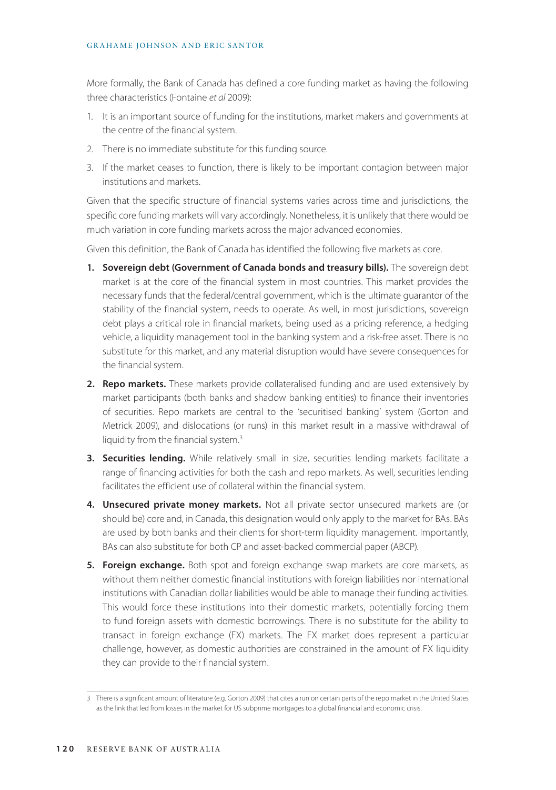#### GRAHAME JOHNSON AND ERIC SANTOR

More formally, the Bank of Canada has defined a core funding market as having the following three characteristics (Fontaine *et al* 2009):

- 1. It is an important source of funding for the institutions, market makers and governments at the centre of the financial system.
- 2. There is no immediate substitute for this funding source.
- 3. If the market ceases to function, there is likely to be important contagion between major institutions and markets.

Given that the specific structure of financial systems varies across time and jurisdictions, the specific core funding markets will vary accordingly. Nonetheless, it is unlikely that there would be much variation in core funding markets across the major advanced economies.

Given this definition, the Bank of Canada has identified the following five markets as core.

- **1. Sovereign debt (Government of Canada bonds and treasury bills).** The sovereign debt market is at the core of the financial system in most countries. This market provides the necessary funds that the federal/central government, which is the ultimate guarantor of the stability of the financial system, needs to operate. As well, in most jurisdictions, sovereign debt plays a critical role in financial markets, being used as a pricing reference, a hedging vehicle, a liquidity management tool in the banking system and a risk-free asset. There is no substitute for this market, and any material disruption would have severe consequences for the financial system.
- **2. Repo markets.** These markets provide collateralised funding and are used extensively by market participants (both banks and shadow banking entities) to finance their inventories of securities. Repo markets are central to the 'securitised banking' system (Gorton and Metrick 2009), and dislocations (or runs) in this market result in a massive withdrawal of liquidity from the financial system.3
- **3. Securities lending.** While relatively small in size, securities lending markets facilitate a range of financing activities for both the cash and repo markets. As well, securities lending facilitates the efficient use of collateral within the financial system.
- **4. Unsecured private money markets.** Not all private sector unsecured markets are (or should be) core and, in Canada, this designation would only apply to the market for BAs. BAs are used by both banks and their clients for short-term liquidity management. Importantly, BAs can also substitute for both CP and asset-backed commercial paper (ABCP).
- **5. Foreign exchange.** Both spot and foreign exchange swap markets are core markets, as without them neither domestic financial institutions with foreign liabilities nor international institutions with Canadian dollar liabilities would be able to manage their funding activities. This would force these institutions into their domestic markets, potentially forcing them to fund foreign assets with domestic borrowings. There is no substitute for the ability to transact in foreign exchange (FX) markets. The FX market does represent a particular challenge, however, as domestic authorities are constrained in the amount of FX liquidity they can provide to their financial system.

<sup>3</sup> There is a significant amount of literature (e.g. Gorton 2009) that cites a run on certain parts of the repo market in the United States as the link that led from losses in the market for US subprime mortgages to a global financial and economic crisis.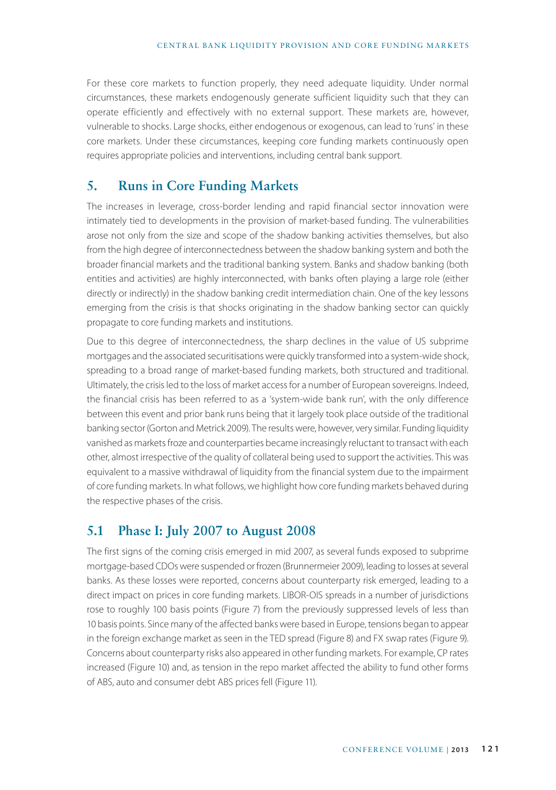For these core markets to function properly, they need adequate liquidity. Under normal circumstances, these markets endogenously generate sufficient liquidity such that they can operate efficiently and effectively with no external support. These markets are, however, vulnerable to shocks. Large shocks, either endogenous or exogenous, can lead to 'runs' in these core markets. Under these circumstances, keeping core funding markets continuously open requires appropriate policies and interventions, including central bank support.

### **5. Runs in Core Funding Markets**

The increases in leverage, cross-border lending and rapid financial sector innovation were intimately tied to developments in the provision of market-based funding. The vulnerabilities arose not only from the size and scope of the shadow banking activities themselves, but also from the high degree of interconnectedness between the shadow banking system and both the broader financial markets and the traditional banking system. Banks and shadow banking (both entities and activities) are highly interconnected, with banks often playing a large role (either directly or indirectly) in the shadow banking credit intermediation chain. One of the key lessons emerging from the crisis is that shocks originating in the shadow banking sector can quickly propagate to core funding markets and institutions.

Due to this degree of interconnectedness, the sharp declines in the value of US subprime mortgages and the associated securitisations were quickly transformed into a system-wide shock, spreading to a broad range of market-based funding markets, both structured and traditional. Ultimately, the crisis led to the loss of market access for a number of European sovereigns. Indeed, the financial crisis has been referred to as a 'system-wide bank run', with the only difference between this event and prior bank runs being that it largely took place outside of the traditional banking sector (Gorton and Metrick 2009). The results were, however, very similar. Funding liquidity vanished as markets froze and counterparties became increasingly reluctant to transact with each other, almost irrespective of the quality of collateral being used to support the activities. This was equivalent to a massive withdrawal of liquidity from the financial system due to the impairment of core funding markets. In what follows, we highlight how core funding markets behaved during the respective phases of the crisis.

# **5.1 Phase I: July 2007 to August 2008**

The first signs of the coming crisis emerged in mid 2007, as several funds exposed to subprime mortgage-based CDOs were suspended or frozen (Brunnermeier 2009), leading to losses at several banks. As these losses were reported, concerns about counterparty risk emerged, leading to a direct impact on prices in core funding markets. LIBOR-OIS spreads in a number of jurisdictions rose to roughly 100 basis points (Figure 7) from the previously suppressed levels of less than 10 basis points. Since many of the affected banks were based in Europe, tensions began to appear in the foreign exchange market as seen in the TED spread (Figure 8) and FX swap rates (Figure 9). Concerns about counterparty risks also appeared in other funding markets. For example, CP rates increased (Figure 10) and, as tension in the repo market affected the ability to fund other forms of ABS, auto and consumer debt ABS prices fell (Figure 11).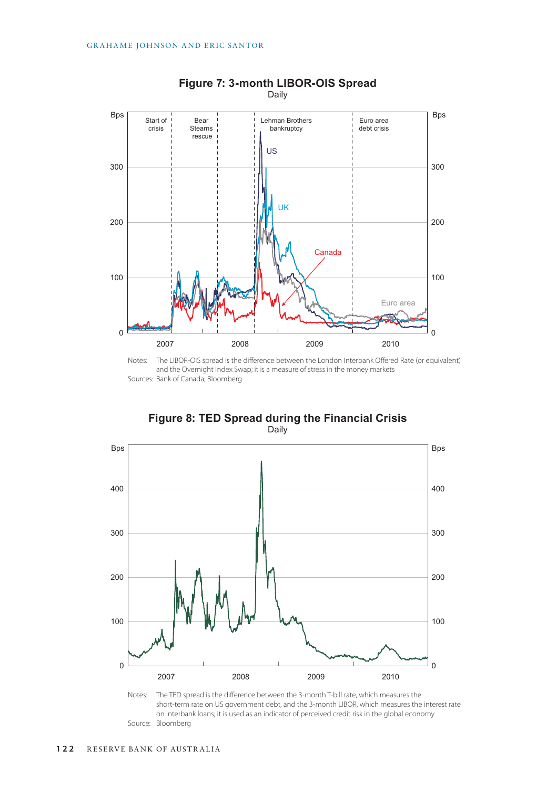

**Figure 7: 3-month LIBOR-OIS Spread** Daily

Notes: The LIBOR-OIS spread is the difference between the London Interbank Offered Rate (or equivalent) and the Overnight Index Swap; it is a measure of stress in the money markets Sources: Bank of Canada; Bloomberg





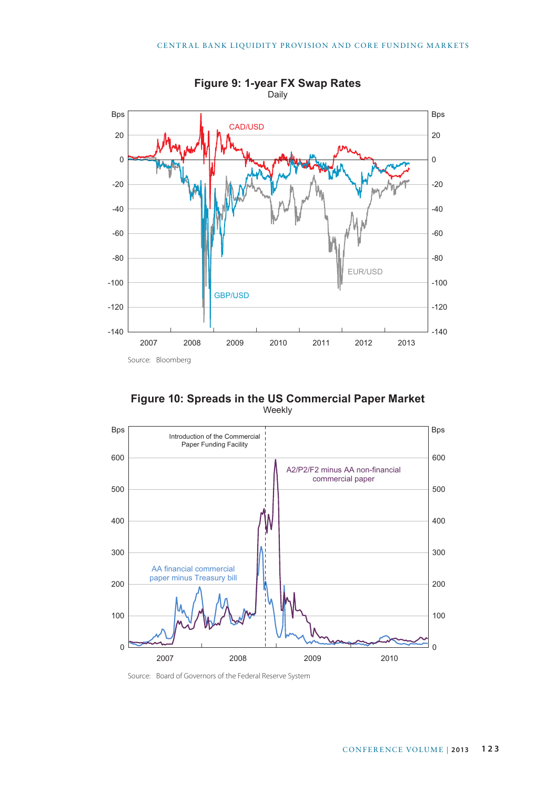

**Figure 10: Spreads in the US Commercial Paper Market** Weekly



Source: Board of Governors of the Federal Reserve System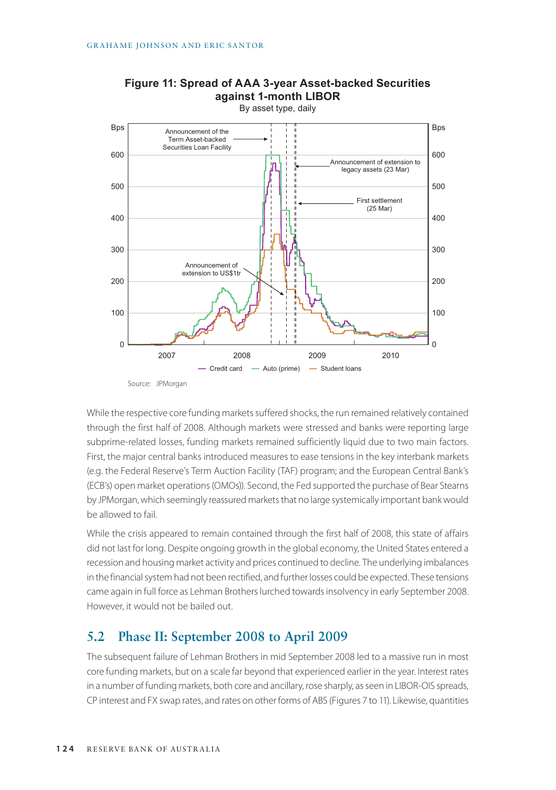

# **Figure 11: Spread of AAA 3-year Asset-backed Securities against 1-month LIBOR**

While the respective core funding markets suffered shocks, the run remained relatively contained through the first half of 2008. Although markets were stressed and banks were reporting large subprime-related losses, funding markets remained sufficiently liquid due to two main factors. First, the major central banks introduced measures to ease tensions in the key interbank markets (e.g. the Federal Reserve's Term Auction Facility (TAF) program; and the European Central Bank's (ECB's) open market operations (OMOs)). Second, the Fed supported the purchase of Bear Stearns by JPMorgan, which seemingly reassured markets that no large systemically important bank would be allowed to fail.

While the crisis appeared to remain contained through the first half of 2008, this state of affairs did not last for long. Despite ongoing growth in the global economy, the United States entered a recession and housing market activity and prices continued to decline. The underlying imbalances in the financial system had not been rectified, and further losses could be expected. These tensions came again in full force as Lehman Brothers lurched towards insolvency in early September 2008. However, it would not be bailed out.

# **5.2 Phase II: September 2008 to April 2009**

The subsequent failure of Lehman Brothers in mid September 2008 led to a massive run in most core funding markets, but on a scale far beyond that experienced earlier in the year. Interest rates in a number of funding markets, both core and ancillary, rose sharply, as seen in LIBOR-OIS spreads, CP interest and FX swap rates, and rates on other forms of ABS (Figures 7 to 11). Likewise, quantities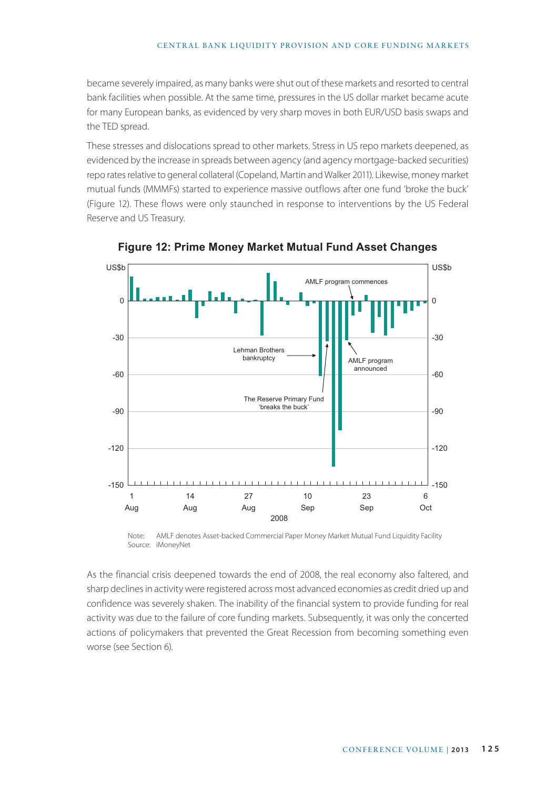#### CENTRAL BANK LIQUIDITY PROVISION AND CORE FUNDING MARKETS

became severely impaired, as many banks were shut out of these markets and resorted to central bank facilities when possible. At the same time, pressures in the US dollar market became acute for many European banks, as evidenced by very sharp moves in both EUR/USD basis swaps and the TED spread.

These stresses and dislocations spread to other markets. Stress in US repo markets deepened, as evidenced by the increase in spreads between agency (and agency mortgage-backed securities) repo rates relative to general collateral (Copeland, Martin and Walker 2011). Likewise, money market mutual funds (MMMFs) started to experience massive outflows after one fund 'broke the buck' (Figure 12). These flows were only staunched in response to interventions by the US Federal Reserve and US Treasury.



**Figure 12: Prime Money Market Mutual Fund Asset Changes**

Note: AMLF denotes Asset-backed Commercial Paper Money Market Mutual Fund Liquidity Facility Source: iMoneyNet

As the financial crisis deepened towards the end of 2008, the real economy also faltered, and sharp declines in activity were registered across most advanced economies as credit dried up and confidence was severely shaken. The inability of the financial system to provide funding for real activity was due to the failure of core funding markets. Subsequently, it was only the concerted actions of policymakers that prevented the Great Recession from becoming something even worse (see Section 6).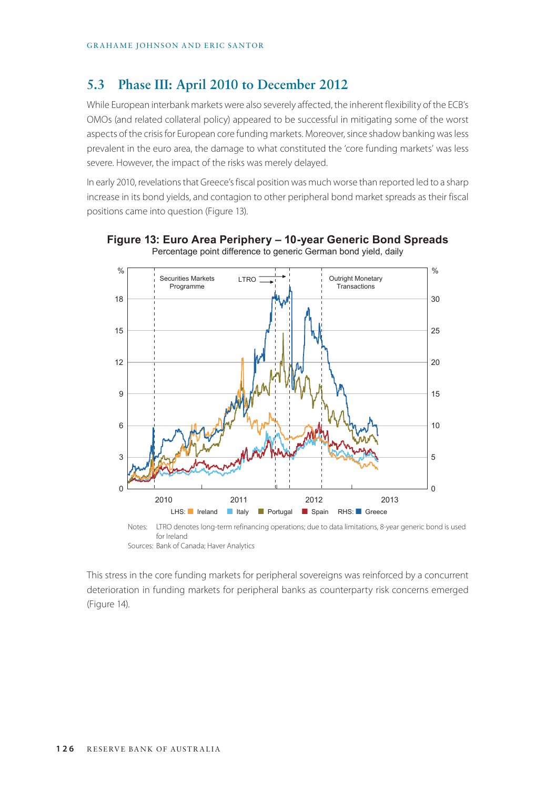# **5.3 Phase III: April 2010 to December 2012**

While European interbank markets were also severely affected, the inherent flexibility of the ECB's OMOs (and related collateral policy) appeared to be successful in mitigating some of the worst aspects of the crisis for European core funding markets. Moreover, since shadow banking was less prevalent in the euro area, the damage to what constituted the 'core funding markets' was less severe. However, the impact of the risks was merely delayed.

In early 2010, revelations that Greece's fiscal position was much worse than reported led to a sharp increase in its bond yields, and contagion to other peripheral bond market spreads as their fiscal positions came into question (Figure 13).



#### **Figure 13: Euro Area Periphery – 10-year Generic Bond Spreads** Percentage point difference to generic German bond yield, daily

Notes: LTRO denotes long-term refinancing operations; due to data limitations, 8-year generic bond is used for Ireland Sources: Bank of Canada; Haver Analytics

This stress in the core funding markets for peripheral sovereigns was reinforced by a concurrent deterioration in funding markets for peripheral banks as counterparty risk concerns emerged (Figure 14).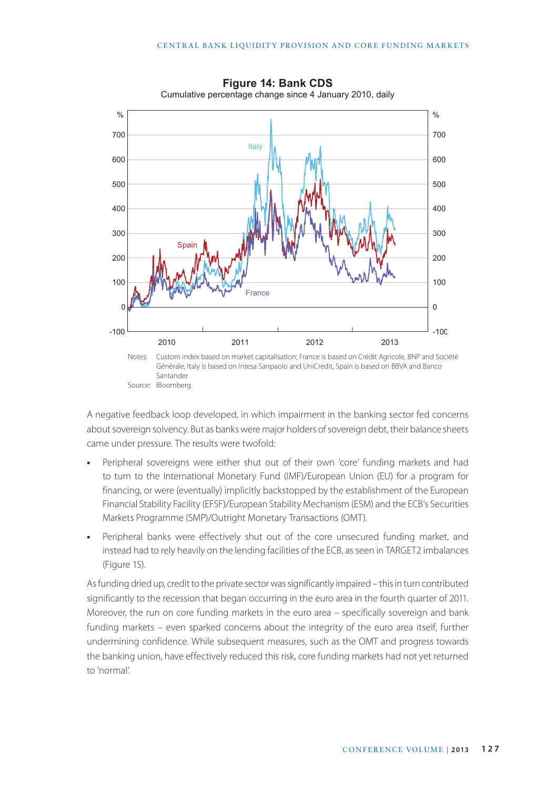

**Figure 14: Bank CDS** Cumulative percentage change since 4 January 2010, daily

A negative feedback loop developed, in which impairment in the banking sector fed concerns about sovereign solvency. But as banks were major holders of sovereign debt, their balance sheets came under pressure. The results were twofold:

- **•** Peripheral sovereigns were either shut out of their own 'core' funding markets and had to turn to the International Monetary Fund (IMF)/European Union (EU) for a program for financing, or were (eventually) implicitly backstopped by the establishment of the European Financial Stability Facility (EFSF)/European Stability Mechanism (ESM) and the ECB's Securities Markets Programme (SMP)/Outright Monetary Transactions (OMT).
- **•** Peripheral banks were effectively shut out of the core unsecured funding market, and instead had to rely heavily on the lending facilities of the ECB, as seen in TARGET2 imbalances (Figure 15).

As funding dried up, credit to the private sector was significantly impaired – this in turn contributed significantly to the recession that began occurring in the euro area in the fourth quarter of 2011. Moreover, the run on core funding markets in the euro area – specifically sovereign and bank funding markets – even sparked concerns about the integrity of the euro area itself, further undermining confidence. While subsequent measures, such as the OMT and progress towards the banking union, have effectively reduced this risk, core funding markets had not yet returned to 'normal'.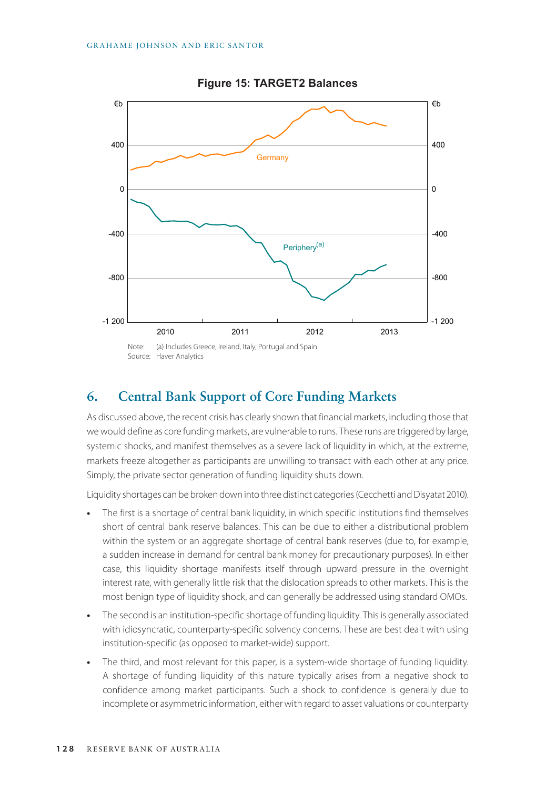

**Figure 15: TARGET2 Balances**

### **6. Central Bank Support of Core Funding Markets**

As discussed above, the recent crisis has clearly shown that financial markets, including those that we would define as core funding markets, are vulnerable to runs. These runs are triggered by large, systemic shocks, and manifest themselves as a severe lack of liquidity in which, at the extreme, markets freeze altogether as participants are unwilling to transact with each other at any price. Simply, the private sector generation of funding liquidity shuts down.

Liquidity shortages can be broken down into three distinct categories (Cecchetti and Disyatat 2010).

- **•** The first is a shortage of central bank liquidity, in which specific institutions find themselves short of central bank reserve balances. This can be due to either a distributional problem within the system or an aggregate shortage of central bank reserves (due to, for example, a sudden increase in demand for central bank money for precautionary purposes). In either case, this liquidity shortage manifests itself through upward pressure in the overnight interest rate, with generally little risk that the dislocation spreads to other markets. This is the most benign type of liquidity shock, and can generally be addressed using standard OMOs.
- **•** The second is an institution-specific shortage of funding liquidity. This is generally associated with idiosyncratic, counterparty-specific solvency concerns. These are best dealt with using institution-specific (as opposed to market-wide) support.
- **•** The third, and most relevant for this paper, is a system-wide shortage of funding liquidity. A shortage of funding liquidity of this nature typically arises from a negative shock to confidence among market participants. Such a shock to confidence is generally due to incomplete or asymmetric information, either with regard to asset valuations or counterparty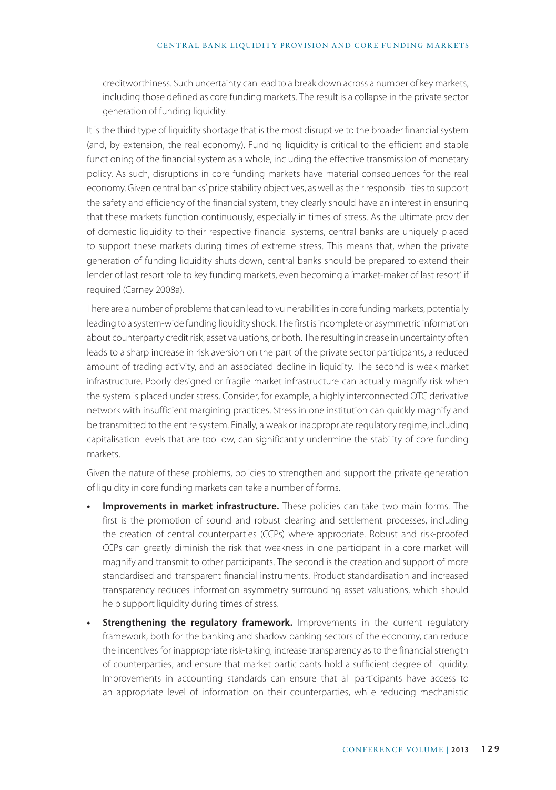creditworthiness. Such uncertainty can lead to a break down across a number of key markets, including those defined as core funding markets. The result is a collapse in the private sector generation of funding liquidity.

It is the third type of liquidity shortage that is the most disruptive to the broader financial system (and, by extension, the real economy). Funding liquidity is critical to the efficient and stable functioning of the financial system as a whole, including the effective transmission of monetary policy. As such, disruptions in core funding markets have material consequences for the real economy. Given central banks' price stability objectives, as well as their responsibilities to support the safety and efficiency of the financial system, they clearly should have an interest in ensuring that these markets function continuously, especially in times of stress. As the ultimate provider of domestic liquidity to their respective financial systems, central banks are uniquely placed to support these markets during times of extreme stress. This means that, when the private generation of funding liquidity shuts down, central banks should be prepared to extend their lender of last resort role to key funding markets, even becoming a 'market-maker of last resort' if required (Carney 2008a).

There are a number of problems that can lead to vulnerabilities in core funding markets, potentially leading to a system-wide funding liquidity shock. The first is incomplete or asymmetric information about counterparty credit risk, asset valuations, or both. The resulting increase in uncertainty often leads to a sharp increase in risk aversion on the part of the private sector participants, a reduced amount of trading activity, and an associated decline in liquidity. The second is weak market infrastructure. Poorly designed or fragile market infrastructure can actually magnify risk when the system is placed under stress. Consider, for example, a highly interconnected OTC derivative network with insufficient margining practices. Stress in one institution can quickly magnify and be transmitted to the entire system. Finally, a weak or inappropriate regulatory regime, including capitalisation levels that are too low, can significantly undermine the stability of core funding markets.

Given the nature of these problems, policies to strengthen and support the private generation of liquidity in core funding markets can take a number of forms.

- **• Improvements in market infrastructure.** These policies can take two main forms. The first is the promotion of sound and robust clearing and settlement processes, including the creation of central counterparties (CCPs) where appropriate. Robust and risk-proofed CCPs can greatly diminish the risk that weakness in one participant in a core market will magnify and transmit to other participants. The second is the creation and support of more standardised and transparent financial instruments. Product standardisation and increased transparency reduces information asymmetry surrounding asset valuations, which should help support liquidity during times of stress.
- **Strengthening the regulatory framework.** Improvements in the current regulatory framework, both for the banking and shadow banking sectors of the economy, can reduce the incentives for inappropriate risk-taking, increase transparency as to the financial strength of counterparties, and ensure that market participants hold a sufficient degree of liquidity. Improvements in accounting standards can ensure that all participants have access to an appropriate level of information on their counterparties, while reducing mechanistic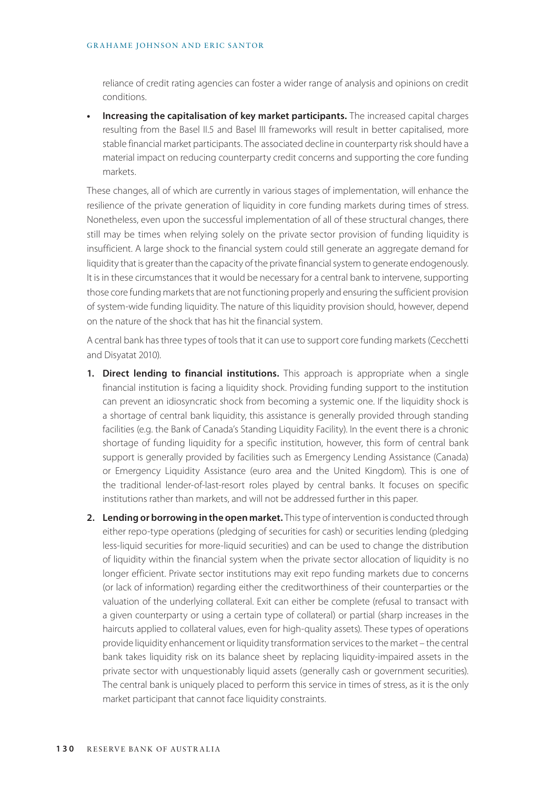#### GRAHAME JOHNSON AND ERIC SANTOR

reliance of credit rating agencies can foster a wider range of analysis and opinions on credit conditions.

**• Increasing the capitalisation of key market participants.** The increased capital charges resulting from the Basel II.5 and Basel III frameworks will result in better capitalised, more stable financial market participants. The associated decline in counterparty risk should have a material impact on reducing counterparty credit concerns and supporting the core funding markets.

These changes, all of which are currently in various stages of implementation, will enhance the resilience of the private generation of liquidity in core funding markets during times of stress. Nonetheless, even upon the successful implementation of all of these structural changes, there still may be times when relying solely on the private sector provision of funding liquidity is insufficient. A large shock to the financial system could still generate an aggregate demand for liquidity that is greater than the capacity of the private financial system to generate endogenously. It is in these circumstances that it would be necessary for a central bank to intervene, supporting those core funding markets that are not functioning properly and ensuring the sufficient provision of system-wide funding liquidity. The nature of this liquidity provision should, however, depend on the nature of the shock that has hit the financial system.

A central bank has three types of tools that it can use to support core funding markets (Cecchetti and Disyatat 2010).

- 1. Direct lending to financial institutions. This approach is appropriate when a single financial institution is facing a liquidity shock. Providing funding support to the institution can prevent an idiosyncratic shock from becoming a systemic one. If the liquidity shock is a shortage of central bank liquidity, this assistance is generally provided through standing facilities (e.g. the Bank of Canada's Standing Liquidity Facility). In the event there is a chronic shortage of funding liquidity for a specific institution, however, this form of central bank support is generally provided by facilities such as Emergency Lending Assistance (Canada) or Emergency Liquidity Assistance (euro area and the United Kingdom). This is one of the traditional lender-of-last-resort roles played by central banks. It focuses on specific institutions rather than markets, and will not be addressed further in this paper.
- **2. Lending or borrowing in the open market.** This type of intervention is conducted through either repo-type operations (pledging of securities for cash) or securities lending (pledging less-liquid securities for more-liquid securities) and can be used to change the distribution of liquidity within the financial system when the private sector allocation of liquidity is no longer efficient. Private sector institutions may exit repo funding markets due to concerns (or lack of information) regarding either the creditworthiness of their counterparties or the valuation of the underlying collateral. Exit can either be complete (refusal to transact with a given counterparty or using a certain type of collateral) or partial (sharp increases in the haircuts applied to collateral values, even for high-quality assets). These types of operations provide liquidity enhancement or liquidity transformation services to the market – the central bank takes liquidity risk on its balance sheet by replacing liquidity-impaired assets in the private sector with unquestionably liquid assets (generally cash or government securities). The central bank is uniquely placed to perform this service in times of stress, as it is the only market participant that cannot face liquidity constraints.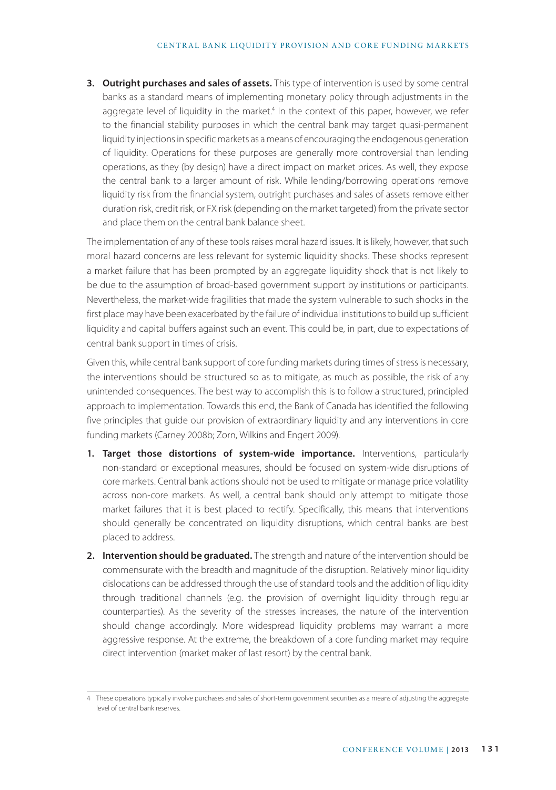**3. Outright purchases and sales of assets.** This type of intervention is used by some central banks as a standard means of implementing monetary policy through adjustments in the aggregate level of liquidity in the market.<sup>4</sup> In the context of this paper, however, we refer to the financial stability purposes in which the central bank may target quasi-permanent liquidity injections in specific markets as a means of encouraging the endogenous generation of liquidity. Operations for these purposes are generally more controversial than lending operations, as they (by design) have a direct impact on market prices. As well, they expose the central bank to a larger amount of risk. While lending/borrowing operations remove liquidity risk from the financial system, outright purchases and sales of assets remove either duration risk, credit risk, or FX risk (depending on the market targeted) from the private sector and place them on the central bank balance sheet.

The implementation of any of these tools raises moral hazard issues. It is likely, however, that such moral hazard concerns are less relevant for systemic liquidity shocks. These shocks represent a market failure that has been prompted by an aggregate liquidity shock that is not likely to be due to the assumption of broad-based government support by institutions or participants. Nevertheless, the market-wide fragilities that made the system vulnerable to such shocks in the first place may have been exacerbated by the failure of individual institutions to build up sufficient liquidity and capital buffers against such an event. This could be, in part, due to expectations of central bank support in times of crisis.

Given this, while central bank support of core funding markets during times of stress is necessary, the interventions should be structured so as to mitigate, as much as possible, the risk of any unintended consequences. The best way to accomplish this is to follow a structured, principled approach to implementation. Towards this end, the Bank of Canada has identified the following five principles that guide our provision of extraordinary liquidity and any interventions in core funding markets (Carney 2008b; Zorn, Wilkins and Engert 2009).

- **1. Target those distortions of system-wide importance.** Interventions, particularly non-standard or exceptional measures, should be focused on system-wide disruptions of core markets. Central bank actions should not be used to mitigate or manage price volatility across non-core markets. As well, a central bank should only attempt to mitigate those market failures that it is best placed to rectify. Specifically, this means that interventions should generally be concentrated on liquidity disruptions, which central banks are best placed to address.
- **2. Intervention should be graduated.** The strength and nature of the intervention should be commensurate with the breadth and magnitude of the disruption. Relatively minor liquidity dislocations can be addressed through the use of standard tools and the addition of liquidity through traditional channels (e.g. the provision of overnight liquidity through regular counterparties). As the severity of the stresses increases, the nature of the intervention should change accordingly. More widespread liquidity problems may warrant a more aggressive response. At the extreme, the breakdown of a core funding market may require direct intervention (market maker of last resort) by the central bank.

<sup>4</sup> These operations typically involve purchases and sales of short-term government securities as a means of adjusting the aggregate level of central bank reserves.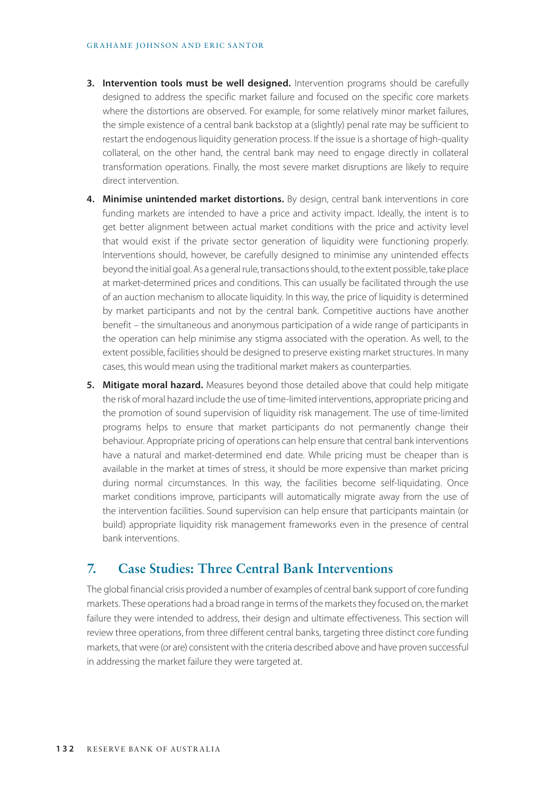- **3. Intervention tools must be well designed.** Intervention programs should be carefully designed to address the specific market failure and focused on the specific core markets where the distortions are observed. For example, for some relatively minor market failures, the simple existence of a central bank backstop at a (slightly) penal rate may be sufficient to restart the endogenous liquidity generation process. If the issue is a shortage of high-quality collateral, on the other hand, the central bank may need to engage directly in collateral transformation operations. Finally, the most severe market disruptions are likely to require direct intervention.
- **4. Minimise unintended market distortions.** By design, central bank interventions in core funding markets are intended to have a price and activity impact. Ideally, the intent is to get better alignment between actual market conditions with the price and activity level that would exist if the private sector generation of liquidity were functioning properly. Interventions should, however, be carefully designed to minimise any unintended effects beyond the initial goal. As a general rule, transactions should, to the extent possible, take place at market-determined prices and conditions. This can usually be facilitated through the use of an auction mechanism to allocate liquidity. In this way, the price of liquidity is determined by market participants and not by the central bank. Competitive auctions have another benefit – the simultaneous and anonymous participation of a wide range of participants in the operation can help minimise any stigma associated with the operation. As well, to the extent possible, facilities should be designed to preserve existing market structures. In many cases, this would mean using the traditional market makers as counterparties.
- **5. Mitigate moral hazard.** Measures beyond those detailed above that could help mitigate the risk of moral hazard include the use of time-limited interventions, appropriate pricing and the promotion of sound supervision of liquidity risk management. The use of time-limited programs helps to ensure that market participants do not permanently change their behaviour. Appropriate pricing of operations can help ensure that central bank interventions have a natural and market-determined end date. While pricing must be cheaper than is available in the market at times of stress, it should be more expensive than market pricing during normal circumstances. In this way, the facilities become self-liquidating. Once market conditions improve, participants will automatically migrate away from the use of the intervention facilities. Sound supervision can help ensure that participants maintain (or build) appropriate liquidity risk management frameworks even in the presence of central bank interventions.

### **7. Case Studies: Three Central Bank Interventions**

The global financial crisis provided a number of examples of central bank support of core funding markets. These operations had a broad range in terms of the markets they focused on, the market failure they were intended to address, their design and ultimate effectiveness. This section will review three operations, from three different central banks, targeting three distinct core funding markets, that were (or are) consistent with the criteria described above and have proven successful in addressing the market failure they were targeted at.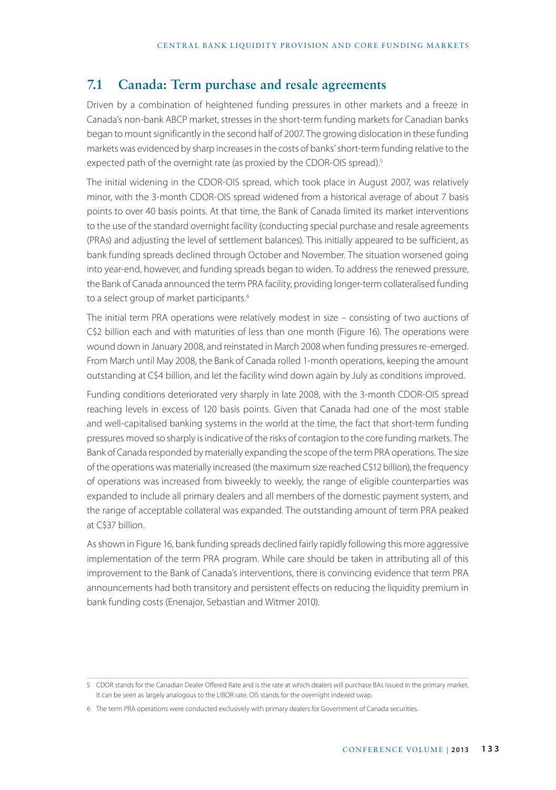# **7.1 Canada: Term purchase and resale agreements**

Driven by a combination of heightened funding pressures in other markets and a freeze in Canada's non-bank ABCP market, stresses in the short-term funding markets for Canadian banks began to mount significantly in the second half of 2007. The growing dislocation in these funding markets was evidenced by sharp increases in the costs of banks' short-term funding relative to the expected path of the overnight rate (as proxied by the CDOR-OIS spread).<sup>5</sup>

The initial widening in the CDOR-OIS spread, which took place in August 2007, was relatively minor, with the 3-month CDOR-OIS spread widened from a historical average of about 7 basis points to over 40 basis points. At that time, the Bank of Canada limited its market interventions to the use of the standard overnight facility (conducting special purchase and resale agreements (PRAs) and adjusting the level of settlement balances). This initially appeared to be sufficient, as bank funding spreads declined through October and November. The situation worsened going into year-end, however, and funding spreads began to widen. To address the renewed pressure, the Bank of Canada announced the term PRA facility, providing longer-term collateralised funding to a select group of market participants.<sup>6</sup>

The initial term PRA operations were relatively modest in size – consisting of two auctions of C\$2 billion each and with maturities of less than one month (Figure 16). The operations were wound down in January 2008, and reinstated in March 2008 when funding pressures re-emerged. From March until May 2008, the Bank of Canada rolled 1-month operations, keeping the amount outstanding at C\$4 billion, and let the facility wind down again by July as conditions improved.

Funding conditions deteriorated very sharply in late 2008, with the 3-month CDOR-OIS spread reaching levels in excess of 120 basis points. Given that Canada had one of the most stable and well-capitalised banking systems in the world at the time, the fact that short-term funding pressures moved so sharply is indicative of the risks of contagion to the core funding markets. The Bank of Canada responded by materially expanding the scope of the term PRA operations. The size of the operations was materially increased (the maximum size reached C\$12 billion), the frequency of operations was increased from biweekly to weekly, the range of eligible counterparties was expanded to include all primary dealers and all members of the domestic payment system, and the range of acceptable collateral was expanded. The outstanding amount of term PRA peaked at C\$37 billion.

As shown in Figure 16, bank funding spreads declined fairly rapidly following this more aggressive implementation of the term PRA program. While care should be taken in attributing all of this improvement to the Bank of Canada's interventions, there is convincing evidence that term PRA announcements had both transitory and persistent effects on reducing the liquidity premium in bank funding costs (Enenajor, Sebastian and Witmer 2010).

<sup>5</sup> CDOR stands for the Canadian Dealer Offered Rate and is the rate at which dealers will purchase BAs issued in the primary market. It can be seen as largely analogous to the LIBOR rate. OIS stands for the overnight indexed swap.

<sup>6</sup> The term PRA operations were conducted exclusively with primary dealers for Government of Canada securities.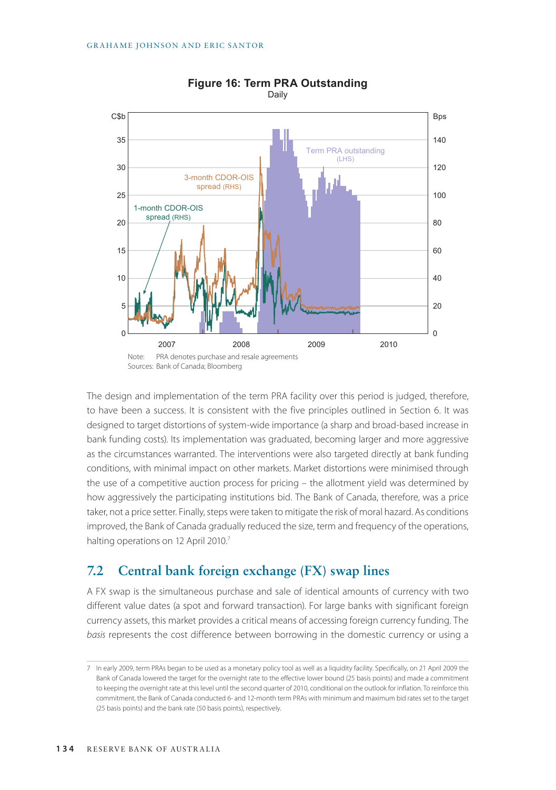

#### **Figure 16: Term PRA Outstanding** Daily

The design and implementation of the term PRA facility over this period is judged, therefore, to have been a success. It is consistent with the five principles outlined in Section 6. It was designed to target distortions of system-wide importance (a sharp and broad-based increase in bank funding costs). Its implementation was graduated, becoming larger and more aggressive as the circumstances warranted. The interventions were also targeted directly at bank funding conditions, with minimal impact on other markets. Market distortions were minimised through the use of a competitive auction process for pricing – the allotment yield was determined by how aggressively the participating institutions bid. The Bank of Canada, therefore, was a price taker, not a price setter. Finally, steps were taken to mitigate the risk of moral hazard. As conditions improved, the Bank of Canada gradually reduced the size, term and frequency of the operations, halting operations on 12 April 2010.<sup>7</sup>

# **7.2 Central bank foreign exchange (FX) swap lines**

A FX swap is the simultaneous purchase and sale of identical amounts of currency with two different value dates (a spot and forward transaction). For large banks with significant foreign currency assets, this market provides a critical means of accessing foreign currency funding. The *basis* represents the cost difference between borrowing in the domestic currency or using a

<sup>7</sup> In early 2009, term PRAs began to be used as a monetary policy tool as well as a liquidity facility. Specifically, on 21 April 2009 the Bank of Canada lowered the target for the overnight rate to the effective lower bound (25 basis points) and made a commitment to keeping the overnight rate at this level until the second quarter of 2010, conditional on the outlook for inflation. To reinforce this commitment, the Bank of Canada conducted 6- and 12-month term PRAs with minimum and maximum bid rates set to the target (25 basis points) and the bank rate (50 basis points), respectively.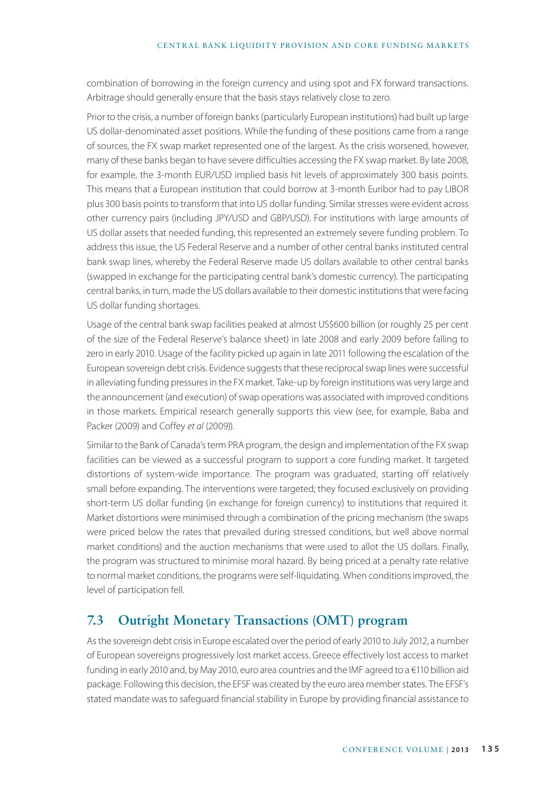combination of borrowing in the foreign currency and using spot and FX forward transactions. Arbitrage should generally ensure that the basis stays relatively close to zero.

Prior to the crisis, a number of foreign banks (particularly European institutions) had built up large US dollar-denominated asset positions. While the funding of these positions came from a range of sources, the FX swap market represented one of the largest. As the crisis worsened, however, many of these banks began to have severe difficulties accessing the FX swap market. By late 2008, for example, the 3-month EUR/USD implied basis hit levels of approximately 300 basis points. This means that a European institution that could borrow at 3-month Euribor had to pay LIBOR plus 300 basis points to transform that into US dollar funding. Similar stresses were evident across other currency pairs (including JPY/USD and GBP/USD). For institutions with large amounts of US dollar assets that needed funding, this represented an extremely severe funding problem. To address this issue, the US Federal Reserve and a number of other central banks instituted central bank swap lines, whereby the Federal Reserve made US dollars available to other central banks (swapped in exchange for the participating central bank's domestic currency). The participating central banks, in turn, made the US dollars available to their domestic institutions that were facing US dollar funding shortages.

Usage of the central bank swap facilities peaked at almost US\$600 billion (or roughly 25 per cent of the size of the Federal Reserve's balance sheet) in late 2008 and early 2009 before falling to zero in early 2010. Usage of the facility picked up again in late 2011 following the escalation of the European sovereign debt crisis. Evidence suggests that these reciprocal swap lines were successful in alleviating funding pressures in the FX market. Take-up by foreign institutions was very large and the announcement (and execution) of swap operations was associated with improved conditions in those markets. Empirical research generally supports this view (see, for example, Baba and Packer (2009) and Coffey *et al* (2009)).

Similar to the Bank of Canada's term PRA program, the design and implementation of the FX swap facilities can be viewed as a successful program to support a core funding market. It targeted distortions of system-wide importance. The program was graduated, starting off relatively small before expanding. The interventions were targeted; they focused exclusively on providing short-term US dollar funding (in exchange for foreign currency) to institutions that required it. Market distortions were minimised through a combination of the pricing mechanism (the swaps were priced below the rates that prevailed during stressed conditions, but well above normal market conditions) and the auction mechanisms that were used to allot the US dollars. Finally, the program was structured to minimise moral hazard. By being priced at a penalty rate relative to normal market conditions, the programs were self-liquidating. When conditions improved, the level of participation fell.

# **7.3 Outright Monetary Transactions (OMT) program**

As the sovereign debt crisis in Europe escalated over the period of early 2010 to July 2012, a number of European sovereigns progressively lost market access. Greece effectively lost access to market funding in early 2010 and, by May 2010, euro area countries and the IMF agreed to a €110 billion aid package. Following this decision, the EFSF was created by the euro area member states. The EFSF's stated mandate was to safeguard financial stability in Europe by providing financial assistance to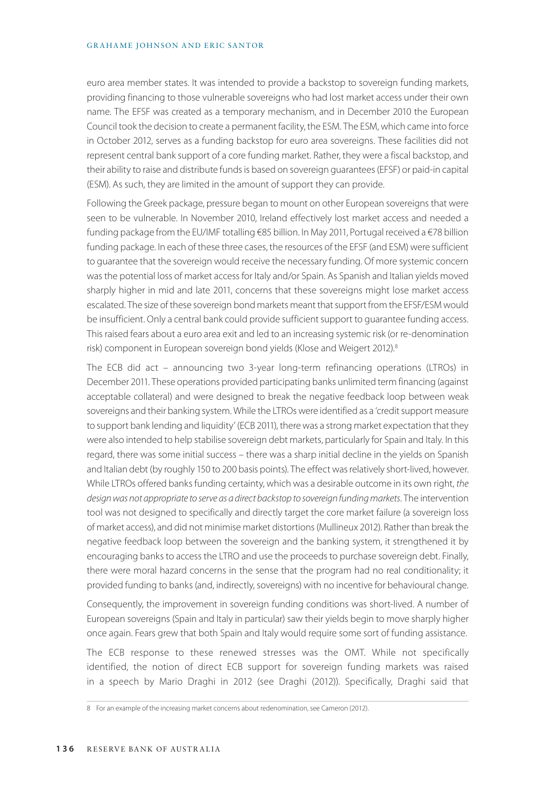#### GRAHAME JOHNSON AND ERIC SANTOR

euro area member states. It was intended to provide a backstop to sovereign funding markets, providing financing to those vulnerable sovereigns who had lost market access under their own name. The EFSF was created as a temporary mechanism, and in December 2010 the European Council took the decision to create a permanent facility, the ESM. The ESM, which came into force in October 2012, serves as a funding backstop for euro area sovereigns. These facilities did not represent central bank support of a core funding market. Rather, they were a fiscal backstop, and their ability to raise and distribute funds is based on sovereign guarantees (EFSF) or paid-in capital (ESM). As such, they are limited in the amount of support they can provide.

Following the Greek package, pressure began to mount on other European sovereigns that were seen to be vulnerable. In November 2010, Ireland effectively lost market access and needed a funding package from the EU/IMF totalling €85 billion. In May 2011, Portugal received a €78 billion funding package. In each of these three cases, the resources of the EFSF (and ESM) were sufficient to guarantee that the sovereign would receive the necessary funding. Of more systemic concern was the potential loss of market access for Italy and/or Spain. As Spanish and Italian yields moved sharply higher in mid and late 2011, concerns that these sovereigns might lose market access escalated. The size of these sovereign bond markets meant that support from the EFSF/ESM would be insufficient. Only a central bank could provide sufficient support to guarantee funding access. This raised fears about a euro area exit and led to an increasing systemic risk (or re-denomination risk) component in European sovereign bond yields (Klose and Weigert 2012).<sup>8</sup>

The ECB did act – announcing two 3-year long-term refinancing operations (LTROs) in December 2011. These operations provided participating banks unlimited term financing (against acceptable collateral) and were designed to break the negative feedback loop between weak sovereigns and their banking system. While the LTROs were identified as a 'credit support measure to support bank lending and liquidity' (ECB 2011), there was a strong market expectation that they were also intended to help stabilise sovereign debt markets, particularly for Spain and Italy. In this regard, there was some initial success – there was a sharp initial decline in the yields on Spanish and Italian debt (by roughly 150 to 200 basis points). The effect was relatively short-lived, however. While LTROs offered banks funding certainty, which was a desirable outcome in its own right, *the design was not appropriate to serve as a direct backstop to sovereign funding markets*. The intervention tool was not designed to specifically and directly target the core market failure (a sovereign loss of market access), and did not minimise market distortions (Mullineux 2012). Rather than break the negative feedback loop between the sovereign and the banking system, it strengthened it by encouraging banks to access the LTRO and use the proceeds to purchase sovereign debt. Finally, there were moral hazard concerns in the sense that the program had no real conditionality; it provided funding to banks (and, indirectly, sovereigns) with no incentive for behavioural change.

Consequently, the improvement in sovereign funding conditions was short-lived. A number of European sovereigns (Spain and Italy in particular) saw their yields begin to move sharply higher once again. Fears grew that both Spain and Italy would require some sort of funding assistance.

The ECB response to these renewed stresses was the OMT. While not specifically identified, the notion of direct ECB support for sovereign funding markets was raised in a speech by Mario Draghi in 2012 (see Draghi (2012)). Specifically, Draghi said that

<sup>8</sup> For an example of the increasing market concerns about redenomination, see Cameron (2012).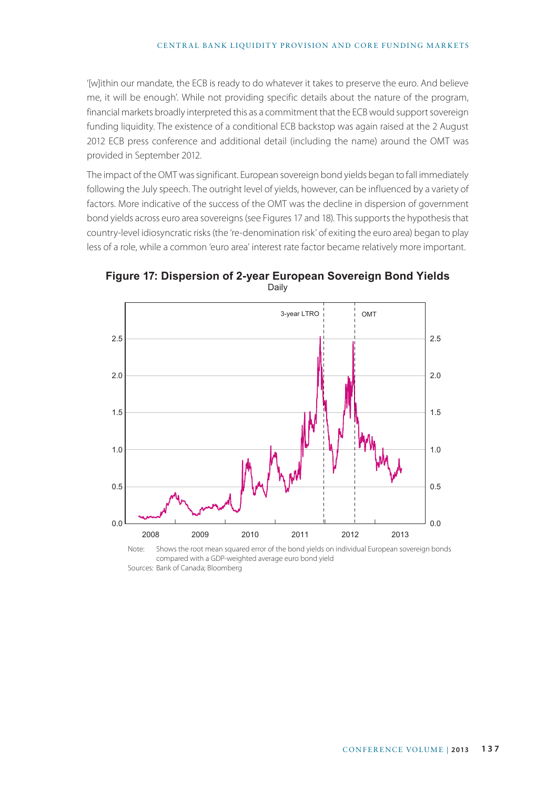#### CENTRAL BANK LIQUIDITY PROVISION AND CORE FUNDING MARKETS

'[w]ithin our mandate, the ECB is ready to do whatever it takes to preserve the euro. And believe me, it will be enough'. While not providing specific details about the nature of the program, financial markets broadly interpreted this as a commitment that the ECB would support sovereign funding liquidity. The existence of a conditional ECB backstop was again raised at the 2 August 2012 ECB press conference and additional detail (including the name) around the OMT was provided in September 2012.

The impact of the OMT was significant. European sovereign bond yields began to fall immediately following the July speech. The outright level of yields, however, can be influenced by a variety of factors. More indicative of the success of the OMT was the decline in dispersion of government bond yields across euro area sovereigns (see Figures 17 and 18). This supports the hypothesis that country-level idiosyncratic risks (the 're-denomination risk' of exiting the euro area) began to play less of a role, while a common 'euro area' interest rate factor became relatively more important.



**Figure 17: Dispersion of 2-year European Sovereign Bond Yields** Daily

Note: Shows the root mean squared error of the bond yields on individual European sovereign bonds compared with a GDP-weighted average euro bond yield Sources: Bank of Canada; Bloomberg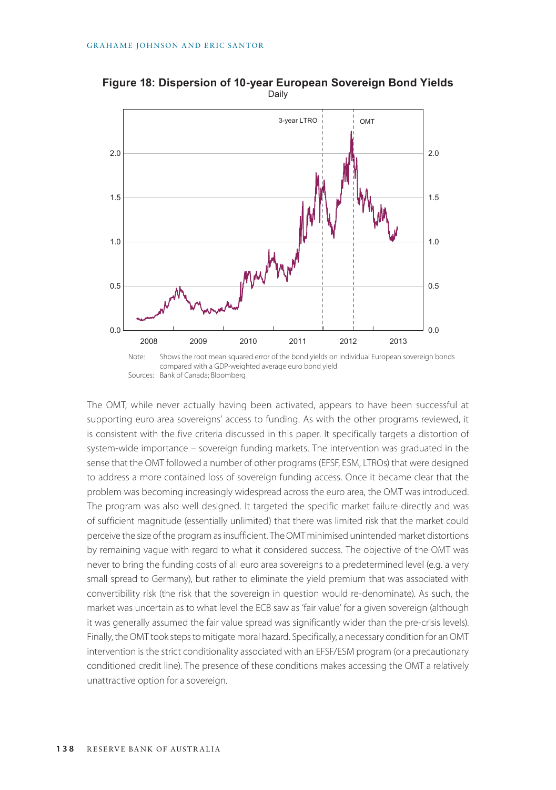Sources: Bank of Canada; Bloomberg



**Figure 18: Dispersion of 10-year European Sovereign Bond Yields** Daily

The OMT, while never actually having been activated, appears to have been successful at supporting euro area sovereigns' access to funding. As with the other programs reviewed, it is consistent with the five criteria discussed in this paper. It specifically targets a distortion of system-wide importance – sovereign funding markets. The intervention was graduated in the sense that the OMT followed a number of other programs (EFSF, ESM, LTROs) that were designed to address a more contained loss of sovereign funding access. Once it became clear that the problem was becoming increasingly widespread across the euro area, the OMT was introduced. The program was also well designed. It targeted the specific market failure directly and was of sufficient magnitude (essentially unlimited) that there was limited risk that the market could perceive the size of the program as insufficient. The OMT minimised unintended market distortions by remaining vague with regard to what it considered success. The objective of the OMT was never to bring the funding costs of all euro area sovereigns to a predetermined level (e.g. a very small spread to Germany), but rather to eliminate the yield premium that was associated with convertibility risk (the risk that the sovereign in question would re-denominate). As such, the market was uncertain as to what level the ECB saw as 'fair value' for a given sovereign (although it was generally assumed the fair value spread was significantly wider than the pre-crisis levels). Finally, the OMT took steps to mitigate moral hazard. Specifically, a necessary condition for an OMT intervention is the strict conditionality associated with an EFSF/ESM program (or a precautionary conditioned credit line). The presence of these conditions makes accessing the OMT a relatively unattractive option for a sovereign.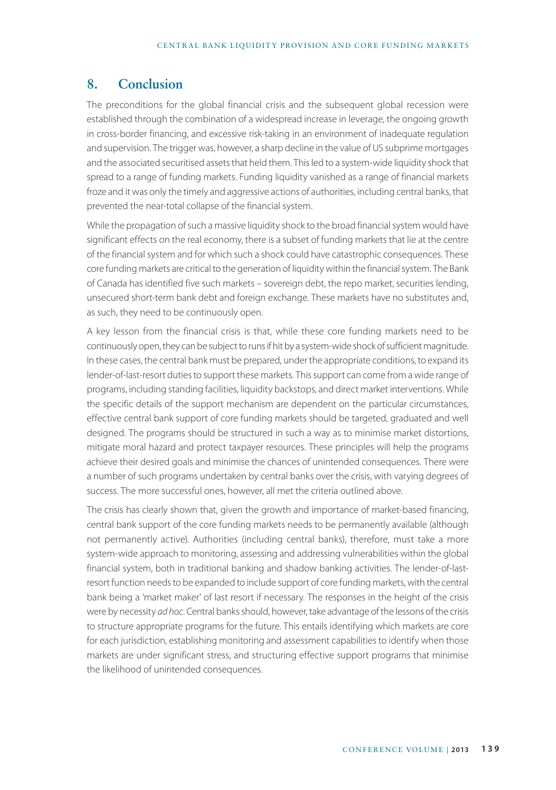# **8. Conclusion**

The preconditions for the global financial crisis and the subsequent global recession were established through the combination of a widespread increase in leverage, the ongoing growth in cross-border financing, and excessive risk-taking in an environment of inadequate regulation and supervision. The trigger was, however, a sharp decline in the value of US subprime mortgages and the associated securitised assets that held them. This led to a system-wide liquidity shock that spread to a range of funding markets. Funding liquidity vanished as a range of financial markets froze and it was only the timely and aggressive actions of authorities, including central banks, that prevented the near-total collapse of the financial system.

While the propagation of such a massive liquidity shock to the broad financial system would have significant effects on the real economy, there is a subset of funding markets that lie at the centre of the financial system and for which such a shock could have catastrophic consequences. These core funding markets are critical to the generation of liquidity within the financial system. The Bank of Canada has identified five such markets – sovereign debt, the repo market, securities lending, unsecured short-term bank debt and foreign exchange. These markets have no substitutes and, as such, they need to be continuously open.

A key lesson from the financial crisis is that, while these core funding markets need to be continuously open, they can be subject to runs if hit by a system-wide shock of sufficient magnitude. In these cases, the central bank must be prepared, under the appropriate conditions, to expand its lender-of-last-resort duties to support these markets. This support can come from a wide range of programs, including standing facilities, liquidity backstops, and direct market interventions. While the specific details of the support mechanism are dependent on the particular circumstances, effective central bank support of core funding markets should be targeted, graduated and well designed. The programs should be structured in such a way as to minimise market distortions, mitigate moral hazard and protect taxpayer resources. These principles will help the programs achieve their desired goals and minimise the chances of unintended consequences. There were a number of such programs undertaken by central banks over the crisis, with varying degrees of success. The more successful ones, however, all met the criteria outlined above.

The crisis has clearly shown that, given the growth and importance of market-based financing, central bank support of the core funding markets needs to be permanently available (although not permanently active). Authorities (including central banks), therefore, must take a more system-wide approach to monitoring, assessing and addressing vulnerabilities within the global financial system, both in traditional banking and shadow banking activities. The lender-of-lastresort function needs to be expanded to include support of core funding markets, with the central bank being a 'market maker' of last resort if necessary. The responses in the height of the crisis were by necessity *ad hoc*. Central banks should, however, take advantage of the lessons of the crisis to structure appropriate programs for the future. This entails identifying which markets are core for each jurisdiction, establishing monitoring and assessment capabilities to identify when those markets are under significant stress, and structuring effective support programs that minimise the likelihood of unintended consequences.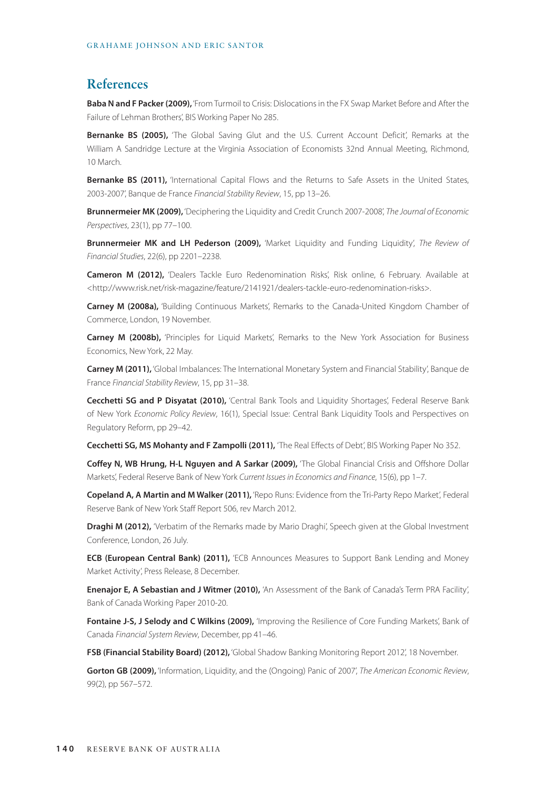# **References**

**Baba N and F Packer (2009),** 'From Turmoil to Crisis: Dislocations in the FX Swap Market Before and After the Failure of Lehman Brothers', BIS Working Paper No 285.

**Bernanke BS (2005),** 'The Global Saving Glut and the U.S. Current Account Deficit', Remarks at the William A Sandridge Lecture at the Virginia Association of Economists 32nd Annual Meeting, Richmond, 10 March.

**Bernanke BS (2011),** 'International Capital Flows and the Returns to Safe Assets in the United States, 2003-2007', Banque de France *Financial Stability Review*, 15, pp 13–26.

**Brunnermeier MK (2009),** 'Deciphering the Liquidity and Credit Crunch 2007-2008', *The Journal of Economic Perspectives*, 23(1), pp 77–100.

**Brunnermeier MK and LH Pederson (2009),** 'Market Liquidity and Funding Liquidity', *The Review of Financial Studies*, 22(6), pp 2201–2238.

**Cameron M (2012),** 'Dealers Tackle Euro Redenomination Risks', Risk online, 6 February. Available at <http://www.risk.net/risk-magazine/feature/2141921/dealers-tackle-euro-redenomination-risks>.

**Carney M (2008a),** 'Building Continuous Markets', Remarks to the Canada-United Kingdom Chamber of Commerce, London, 19 November.

**Carney M (2008b),** 'Principles for Liquid Markets', Remarks to the New York Association for Business Economics, New York, 22 May.

**Carney M (2011),** 'Global Imbalances: The International Monetary System and Financial Stability', Banque de France *Financial Stability Review*, 15, pp 31–38.

**Cecchetti SG and P Disyatat (2010),** 'Central Bank Tools and Liquidity Shortages', Federal Reserve Bank of New York *Economic Policy Review*, 16(1), Special Issue: Central Bank Liquidity Tools and Perspectives on Regulatory Reform, pp 29–42.

**Cecchetti SG, MS Mohanty and F Zampolli (2011),** 'The Real Effects of Debt', BIS Working Paper No 352.

**Coffey N, WB Hrung, H-L Nguyen and A Sarkar (2009),** 'The Global Financial Crisis and Offshore Dollar Markets', Federal Reserve Bank of New York *Current Issues in Economics and Finance*, 15(6), pp 1–7.

**Copeland A, A Martin and M Walker (2011),** 'Repo Runs: Evidence from the Tri-Party Repo Market', Federal Reserve Bank of New York Staff Report 506, rev March 2012.

**Draghi M (2012),** 'Verbatim of the Remarks made by Mario Draghi', Speech given at the Global Investment Conference, London, 26 July.

**ECB (European Central Bank) (2011),** 'ECB Announces Measures to Support Bank Lending and Money Market Activity', Press Release, 8 December.

**Enenajor E, A Sebastian and J Witmer (2010),** 'An Assessment of the Bank of Canada's Term PRA Facility', Bank of Canada Working Paper 2010-20.

Fontaine J-S, J Selody and C Wilkins (2009), 'Improving the Resilience of Core Funding Markets', Bank of Canada *Financial System Review*, December, pp 41–46.

**FSB (Financial Stability Board) (2012),** 'Global Shadow Banking Monitoring Report 2012', 18 November.

**Gorton GB (2009),** 'Information, Liquidity, and the (Ongoing) Panic of 2007', *The American Economic Review*, 99(2), pp 567–572.